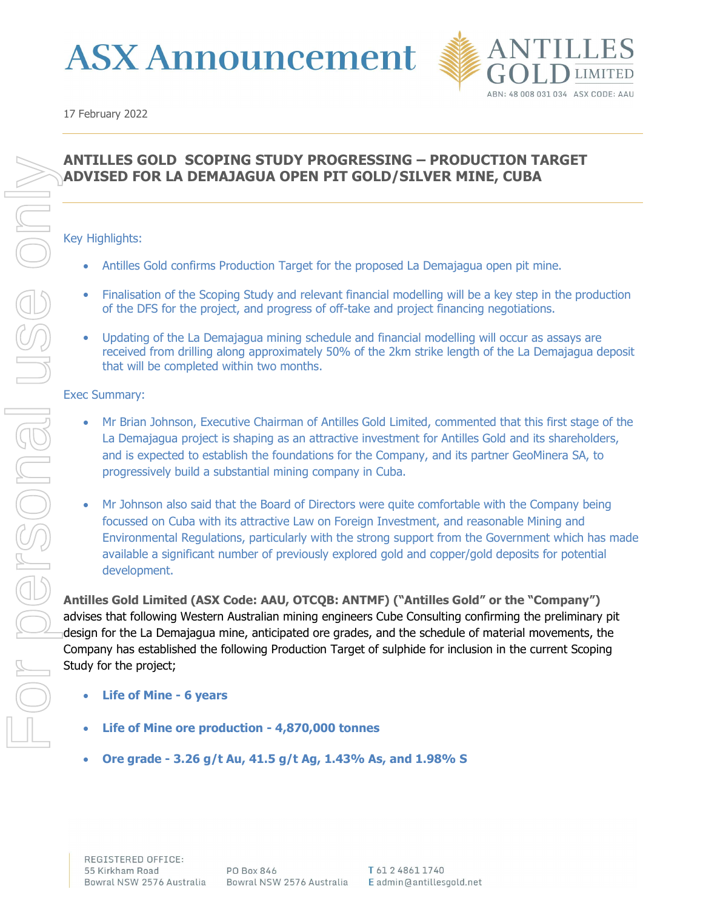



# ANTILLES GOLD SCOPING STUDY PROGRESSING – PRODUCTION TARGET ADVISED FOR LA DEMAJAGUA OPEN PIT GOLD/SILVER MINE, CUBA

#### Key Highlights:

- Antilles Gold confirms Production Target for the proposed La Demajagua open pit mine.
- Finalisation of the Scoping Study and relevant financial modelling will be a key step in the production of the DFS for the project, and progress of off-take and project financing negotiations.
- Updating of the La Demajagua mining schedule and financial modelling will occur as assays are received from drilling along approximately 50% of the 2km strike length of the La Demajagua deposit that will be completed within two months.

#### Exec Summary:

- Mr Brian Johnson, Executive Chairman of Antilles Gold Limited, commented that this first stage of the La Demajagua project is shaping as an attractive investment for Antilles Gold and its shareholders, and is expected to establish the foundations for the Company, and its partner GeoMinera SA, to progressively build a substantial mining company in Cuba.
- Mr Johnson also said that the Board of Directors were quite comfortable with the Company being focussed on Cuba with its attractive Law on Foreign Investment, and reasonable Mining and Environmental Regulations, particularly with the strong support from the Government which has made available a significant number of previously explored gold and copper/gold deposits for potential development.

Antilles Gold Limited (ASX Code: AAU, OTCQB: ANTMF) ("Antilles Gold" or the "Company") advises that following Western Australian mining engineers Cube Consulting confirming the preliminary pit design for the La Demajagua mine, anticipated ore grades, and the schedule of material movements, the Company has established the following Production Target of sulphide for inclusion in the current Scoping Study for the project;

- Life of Mine 6 years
- Life of Mine ore production 4,870,000 tonnes
- Ore grade 3.26 g/t Au, 41.5 g/t Ag, 1.43% As, and 1.98% S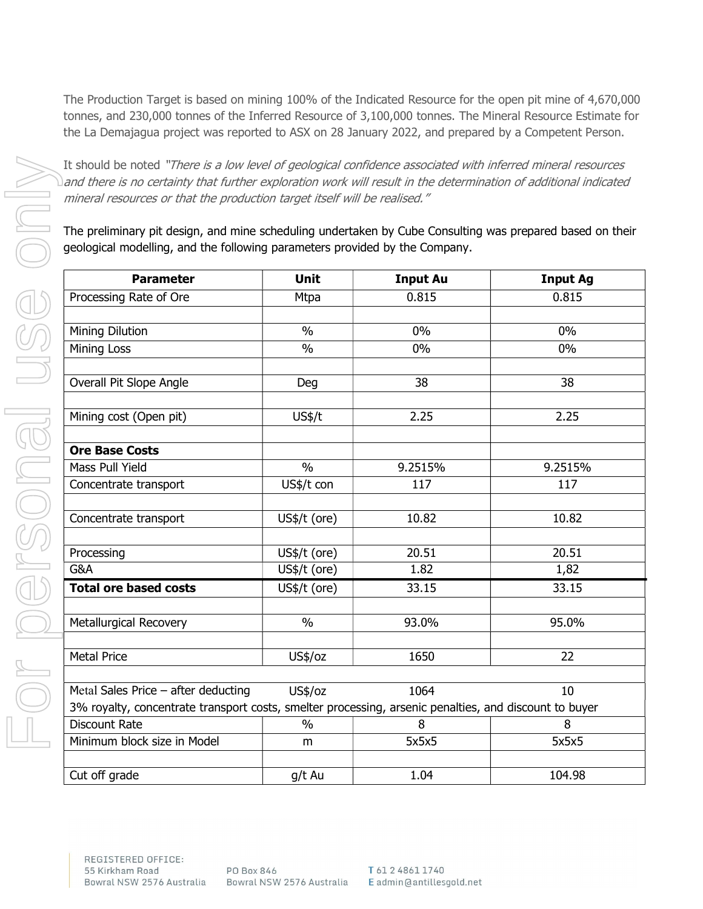The Production Target is based on mining 100% of the Indicated Resource for the open pit mine of 4,670,000 tonnes, and 230,000 tonnes of the Inferred Resource of 3,100,000 tonnes. The Mineral Resource Estimate for the La Demajagua project was reported to ASX on 28 January 2022, and prepared by a Competent Person.

It should be noted "There is a low level of geological confidence associated with inferred mineral resources and there is no certainty that further exploration work will result in the determination of additional indicated mineral resources or that the production target itself will be realised."

The preliminary pit design, and mine scheduling undertaken by Cube Consulting was prepared based on their geological modelling, and the following parameters provided by the Company.

| <b>Parameter</b>                                                                                      | <b>Unit</b>   | <b>Input Au</b> | <b>Input Ag</b> |
|-------------------------------------------------------------------------------------------------------|---------------|-----------------|-----------------|
| Processing Rate of Ore                                                                                | Mtpa          | 0.815           | 0.815           |
|                                                                                                       |               |                 |                 |
| Mining Dilution                                                                                       | $\frac{0}{0}$ | 0%              | 0%              |
| Mining Loss                                                                                           | $\frac{0}{0}$ | 0%              | 0%              |
|                                                                                                       |               |                 |                 |
| Overall Pit Slope Angle                                                                               | Deg           | 38              | 38              |
|                                                                                                       |               |                 |                 |
| Mining cost (Open pit)                                                                                | US\$/t        | 2.25            | 2.25            |
|                                                                                                       |               |                 |                 |
| <b>Ore Base Costs</b>                                                                                 |               |                 |                 |
| Mass Pull Yield                                                                                       | $\frac{0}{0}$ | 9.2515%         | 9.2515%         |
| Concentrate transport                                                                                 | US\$/t con    | 117             | 117             |
|                                                                                                       |               |                 |                 |
| Concentrate transport                                                                                 | US\$/t (ore)  | 10.82           | 10.82           |
|                                                                                                       |               |                 |                 |
| Processing                                                                                            | US\$/t (ore)  | 20.51           | 20.51           |
| G&A                                                                                                   | US\$/t (ore)  | 1.82            | 1,82            |
| <b>Total ore based costs</b>                                                                          | US\$/t (ore)  | 33.15           | 33.15           |
|                                                                                                       |               |                 |                 |
| Metallurgical Recovery                                                                                | $\frac{0}{0}$ | 93.0%           | 95.0%           |
|                                                                                                       |               |                 |                 |
| <b>Metal Price</b>                                                                                    | US\$/oz       | 1650            | 22              |
|                                                                                                       |               |                 |                 |
| Metal Sales Price - after deducting                                                                   | US\$/oz       | 1064            | 10              |
| 3% royalty, concentrate transport costs, smelter processing, arsenic penalties, and discount to buyer |               |                 |                 |
| <b>Discount Rate</b>                                                                                  | $\frac{0}{0}$ | 8               | 8               |
| Minimum block size in Model                                                                           | m             | 5x5x5           | 5x5x5           |
|                                                                                                       |               |                 |                 |
| Cut off grade                                                                                         | g/t Au        | 1.04            | 104.98          |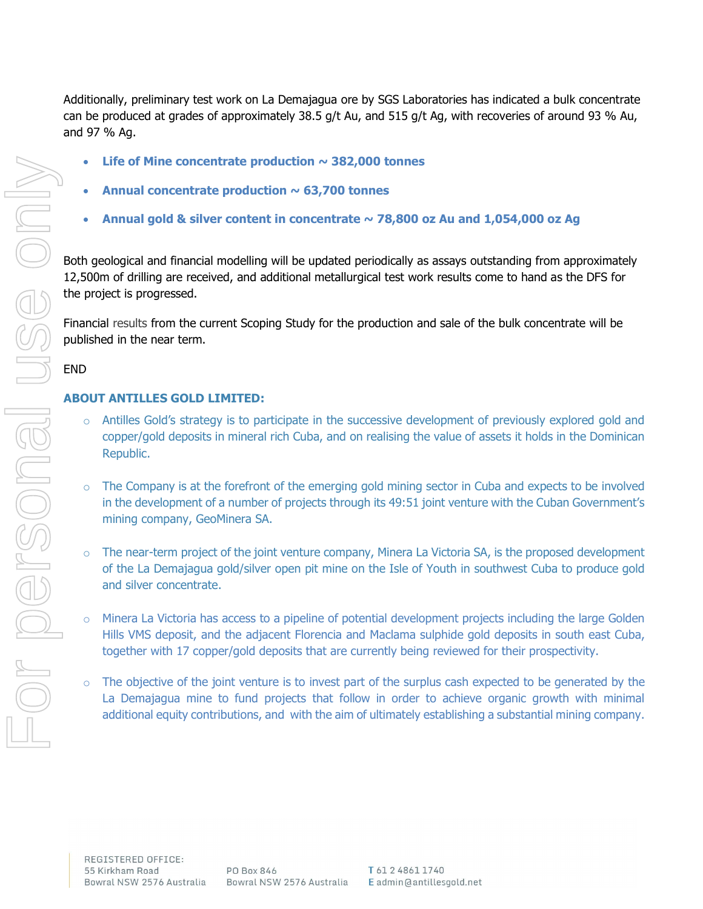Additionally, preliminary test work on La Demajagua ore by SGS Laboratories has indicated a bulk concentrate can be produced at grades of approximately 38.5 g/t Au, and 515 g/t Ag, with recoveries of around 93 % Au, and 97 % Ag.

- Life of Mine concentrate production  $\sim$  382,000 tonnes
- Annual concentrate production  $\sim$  63,700 tonnes
- Annual gold & silver content in concentrate  $\sim$  78,800 oz Au and 1,054,000 oz Ag

Both geological and financial modelling will be updated periodically as assays outstanding from approximately 12,500m of drilling are received, and additional metallurgical test work results come to hand as the DFS for the project is progressed.

Financial results from the current Scoping Study for the production and sale of the bulk concentrate will be published in the near term.

### END

## ABOUT ANTILLES GOLD LIMITED:

- Antilles Gold's strategy is to participate in the successive development of previously explored gold and copper/gold deposits in mineral rich Cuba, and on realising the value of assets it holds in the Dominican Republic.
- o The Company is at the forefront of the emerging gold mining sector in Cuba and expects to be involved in the development of a number of projects through its 49:51 joint venture with the Cuban Government's mining company, GeoMinera SA.
- $\circ$  The near-term project of the joint venture company, Minera La Victoria SA, is the proposed development of the La Demajagua gold/silver open pit mine on the Isle of Youth in southwest Cuba to produce gold and silver concentrate.
- o Minera La Victoria has access to a pipeline of potential development projects including the large Golden Hills VMS deposit, and the adjacent Florencia and Maclama sulphide gold deposits in south east Cuba, together with 17 copper/gold deposits that are currently being reviewed for their prospectivity.
- $\circ$  The objective of the joint venture is to invest part of the surplus cash expected to be generated by the La Demajagua mine to fund projects that follow in order to achieve organic growth with minimal additional equity contributions, and with the aim of ultimately establishing a substantial mining company.